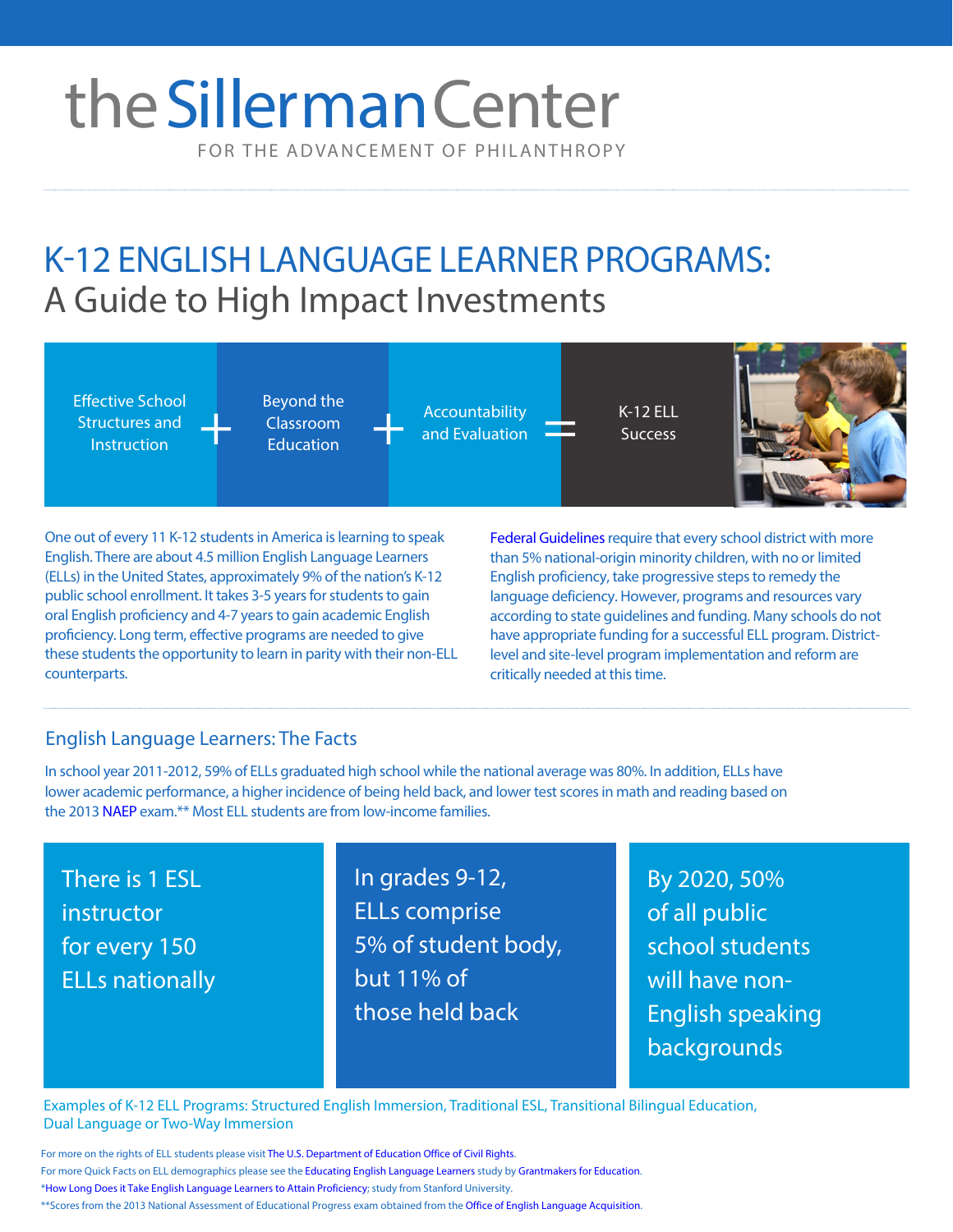# FOR THE ADVANCEMENT OF PHILANTHROPY the Sillerman Center

## K-12 ENGLISH LANGUAGE LEARNER PROGRAMS: A Guide to High Impact Investments

Effective School Structures and **Instruction** 

Beyond the Classroom Education

**Accountability** and Evaluation Expond the Accountability – K-12 ELL<br>
Education – and Evaluation – Success



One out of every 11 K-12 students in America is learning to speak English. There are about 4.5 million English Language Learners (ELLs) in the United States, approximately 9% of the nation's K-12 public school enrollment. It takes 3-5 years for students to gain oral English proficiency and 4-7 years to gain academic English proficiency. Long term, effective programs are needed to give these students the opportunity to learn in parity with their non-ELL counterparts.

[Federal Guidelines](http://www2.ed.gov/about/offices/list/ocr/docs/dcl-factsheet-el-students-201501.pdf) require that every school district with more than 5% national-origin minority children, with no or limited English proficiency, take progressive steps to remedy the language deficiency. However, programs and resources vary according to state guidelines and funding. Many schools do not have appropriate funding for a successful ELL program. Districtlevel and site-level program implementation and reform are critically needed at this time.

### English Language Learners: The Facts

In school year 2011-2012, 59% of ELLs graduated high school while the national average was 80%. In addition, ELLs have lower academic performance, a higher incidence of being held back, and lower test scores in math and reading based on the 2013 [NAEP](http://nces.ed.gov/nationsreportcard/) exam.\*\* Most ELL students are from low-income families.

There is 1 ESL instructor for every 150 ELLs nationally In grades 9-12, ELLs comprise 5% of student body, but 11% of those held back

By 2020, 50% of all public school students will have non-English speaking backgrounds

Examples of K-12 ELL Programs: Structured English Immersion, Traditional ESL, Transitional Bilingual Education, Dual Language or Two-Way Immersion

For more on the rights of ELL students please visit The [U.S. Department of Education Office of Civil Rights](http://www2.ed.gov/about/offices/list/ocr/qa-ell.html).

- For more Quick Facts on ELL demographics please see the [Educating English Language Learners](https://edfunders.org/sites/default/files/Educating%20English%20Language%20Learners_April%202013.pdf) study by [Grantmakers for Education](http://www.edfunders.org/).
- [\\*How Long Does it Take English Language Learners to Attain Proficiency](http://www.usc.edu/dept/education/CMMR/FullText/Hakuta_HOW_LONG_DOES_IT_TAKE.pdf); study from Stanford University.

\*\*Scores from the 2013 National Assessment of Educational Progress exam obtained from the [Office of English Language Acquisition.](http://ncela.ed.gov/files/fast_facts/OELA_FastFacts_ELsandNAEP.pdf)